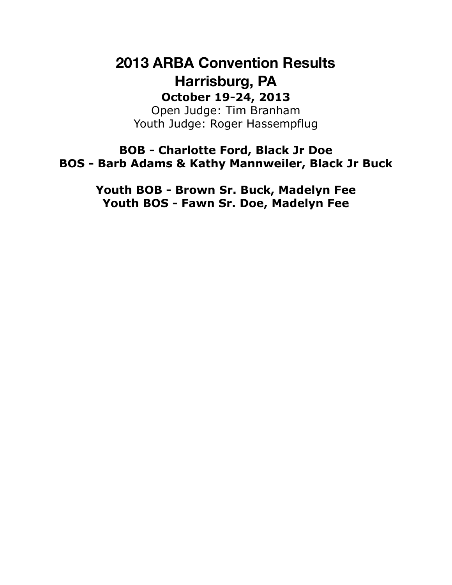# **2013 ARBA Convention Results Harrisburg, PA October 19-24, 2013**

Open Judge: Tim Branham Youth Judge: Roger Hassempflug

**BOB - Charlotte Ford, Black Jr Doe BOS - Barb Adams & Kathy Mannweiler, Black Jr Buck**

> **Youth BOB - Brown Sr. Buck, Madelyn Fee Youth BOS - Fawn Sr. Doe, Madelyn Fee**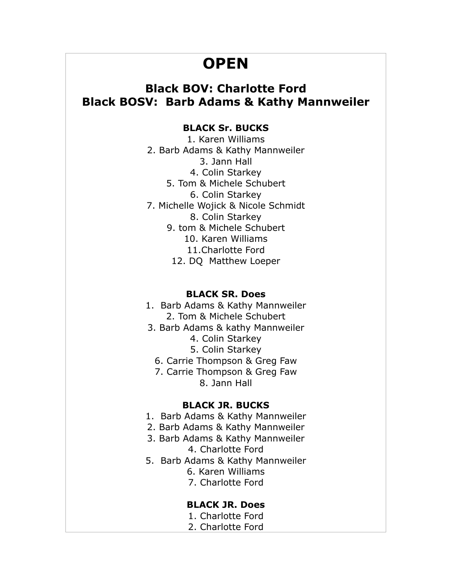# **OPEN**

# **Black BOV: Charlotte Ford Black BOSV: Barb Adams & Kathy Mannweiler**

## **BLACK Sr. BUCKS**

1. Karen Williams 2. Barb Adams & Kathy Mannweiler 3. Jann Hall 4. Colin Starkey 5. Tom & Michele Schubert 6. Colin Starkey 7. Michelle Wojick & Nicole Schmidt 8. Colin Starkey 9. tom & Michele Schubert 10. Karen Williams 11.Charlotte Ford 12. DQ Matthew Loeper

### **BLACK SR. Does**

- 1. Barb Adams & Kathy Mannweiler 2. Tom & Michele Schubert
- 3. Barb Adams & kathy Mannweiler
	- 4. Colin Starkey
	- 5. Colin Starkey
	- 6. Carrie Thompson & Greg Faw
	- 7. Carrie Thompson & Greg Faw 8. Jann Hall

### **BLACK JR. BUCKS**

- 1. Barb Adams & Kathy Mannweiler
- 2. Barb Adams & Kathy Mannweiler
- 3. Barb Adams & Kathy Mannweiler 4. Charlotte Ford
- 5. Barb Adams & Kathy Mannweiler
	- 6. Karen Williams
		- 7. Charlotte Ford

## **BLACK JR. Does**

- 1. Charlotte Ford
- 2. Charlotte Ford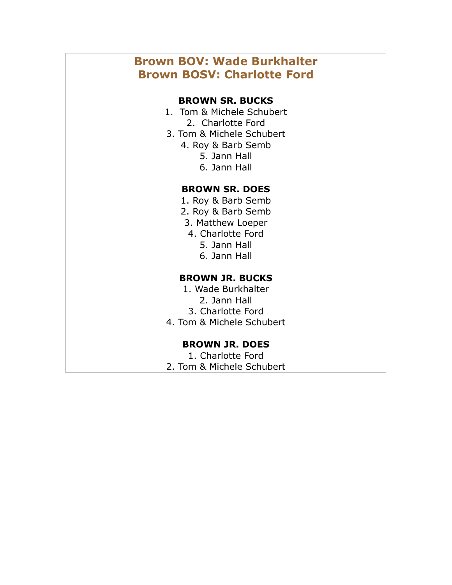# **Brown BOV: Wade Burkhalter Brown BOSV: Charlotte Ford**

## **BROWN SR. BUCKS**

- 1. Tom & Michele Schubert 2. Charlotte Ford
- 3. Tom & Michele Schubert
	- 4. Roy & Barb Semb
		- 5. Jann Hall
		- 6. Jann Hall

## **BROWN SR. DOES**

- 1. Roy & Barb Semb
- 2. Roy & Barb Semb
- 3. Matthew Loeper
- 4. Charlotte Ford
	- 5. Jann Hall
	- 6. Jann Hall

## **BROWN JR. BUCKS**

- 1. Wade Burkhalter 2. Jann Hall
	- 3. Charlotte Ford
- 4. Tom & Michele Schubert

### **BROWN JR. DOES**

1. Charlotte Ford 2. Tom & Michele Schubert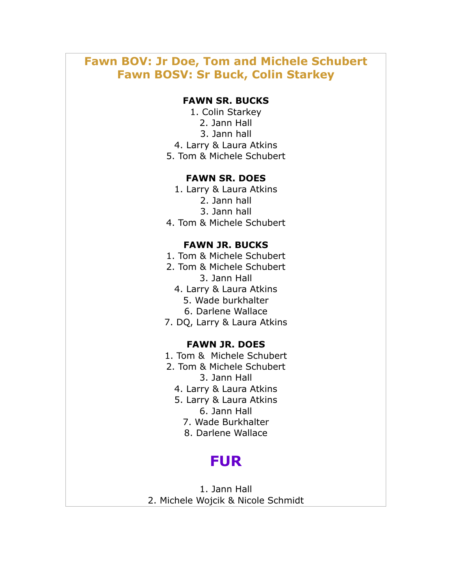# **Fawn BOV: Jr Doe, Tom and Michele Schubert Fawn BOSV: Sr Buck, Colin Starkey**

### **FAWN SR. BUCKS**

- 1. Colin Starkey
	- 2. Jann Hall
	- 3. Jann hall
- 4. Larry & Laura Atkins
- 5. Tom & Michele Schubert

### **FAWN SR. DOES**

- 1. Larry & Laura Atkins
	- 2. Jann hall
	- 3. Jann hall
- 4. Tom & Michele Schubert

### **FAWN JR. BUCKS**

- 1. Tom & Michele Schubert
- 2. Tom & Michele Schubert 3. Jann Hall
	- 4. Larry & Laura Atkins
		- 5. Wade burkhalter
		- 6. Darlene Wallace
- 7. DQ, Larry & Laura Atkins

#### **FAWN JR. DOES**

- 1. Tom & Michele Schubert
- 2. Tom & Michele Schubert 3. Jann Hall
	-
	- 4. Larry & Laura Atkins
	- 5. Larry & Laura Atkins 6. Jann Hall
		- 7. Wade Burkhalter
		- 8. Darlene Wallace

# **FUR**

1. Jann Hall 2. Michele Wojcik & Nicole Schmidt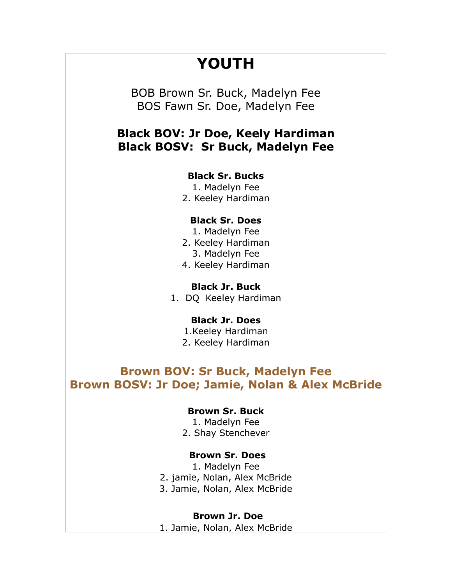# **YOUTH**

BOB Brown Sr. Buck, Madelyn Fee BOS Fawn Sr. Doe, Madelyn Fee

## **Black BOV: Jr Doe, Keely Hardiman Black BOSV: Sr Buck, Madelyn Fee**

### **Black Sr. Bucks**

- 1. Madelyn Fee
- 2. Keeley Hardiman

### **Black Sr. Does**

- 1. Madelyn Fee
- 2. Keeley Hardiman
	- 3. Madelyn Fee
- 4. Keeley Hardiman

### **Black Jr. Buck**

1. DQ Keeley Hardiman

#### **Black Jr. Does**

1.Keeley Hardiman 2. Keeley Hardiman

## **Brown BOV: Sr Buck, Madelyn Fee Brown BOSV: Jr Doe; Jamie, Nolan & Alex McBride**

### **Brown Sr. Buck**

1. Madelyn Fee 2. Shay Stenchever

### **Brown Sr. Does**

1. Madelyn Fee 2. jamie, Nolan, Alex McBride 3. Jamie, Nolan, Alex McBride

**Brown Jr. Doe**

1. Jamie, Nolan, Alex McBride